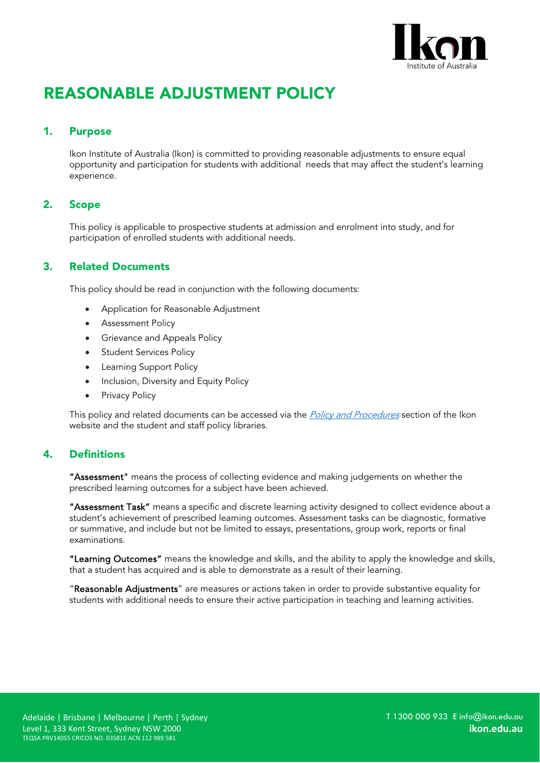

# REASONABLE ADJUSTMENT POLICY

#### 1. Purpose

Ikon Institute of Australia (Ikon) is committed to providing reasonable adjustments to ensure equal opportunity and participation for students with additional needs that may affect the student's learning experience.

#### 2. Scope

This policy is applicable to prospective students at admission and enrolment into study, and for participation of enrolled students with additional needs.

#### 3. Related Documents

This policy should be read in conjunction with the following documents:

- Application for Reasonable Adjustment
- Assessment Policy
- Grievance and Appeals Policy
- Student Services Policy
- **Learning Support Policy**
- Inclusion, Diversity and Equity Policy
- Privacy Policy

This policy and related documents can be accessed via the *[Policy and Procedures](https://ikon.edu.au/policies-procedures/)* section of the Ikon website and the student and staff policy libraries.

#### 4. Definitions

"Assessment" means the process of collecting evidence and making judgements on whether the prescribed learning outcomes for a subject have been achieved.

"Assessment Task" means a specific and discrete learning activity designed to collect evidence about a student's achievement of prescribed learning outcomes. Assessment tasks can be diagnostic, formative or summative, and include but not be limited to essays, presentations, group work, reports or final examinations.

"Learning Outcomes" means the knowledge and skills, and the ability to apply the knowledge and skills, that a student has acquired and is able to demonstrate as a result of their learning.

"Reasonable Adjustments" are measures or actions taken in order to provide substantive equality for students with additional needs to ensure their active participation in teaching and learning activities.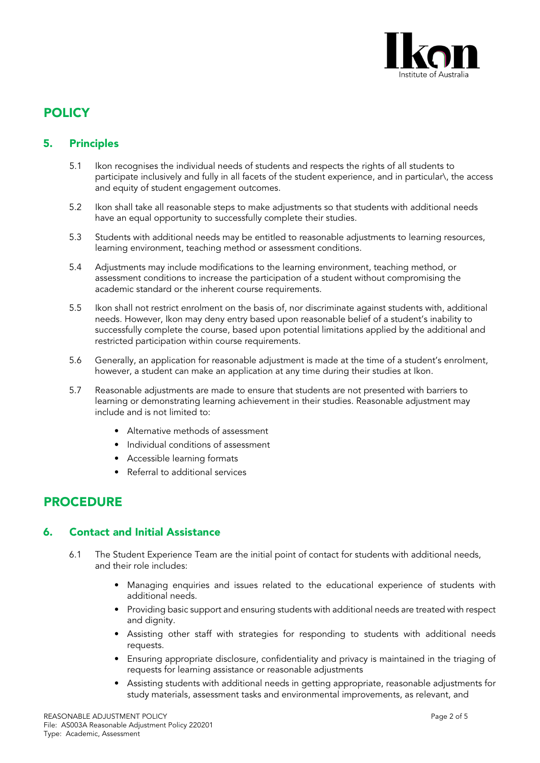

### **POLICY**

#### 5. Principles

- 5.1 Ikon recognises the individual needs of students and respects the rights of all students to participate inclusively and fully in all facets of the student experience, and in particular\, the access and equity of student engagement outcomes.
- 5.2 Ikon shall take all reasonable steps to make adjustments so that students with additional needs have an equal opportunity to successfully complete their studies.
- 5.3 Students with additional needs may be entitled to reasonable adjustments to learning resources, learning environment, teaching method or assessment conditions.
- 5.4 Adjustments may include modifications to the learning environment, teaching method, or assessment conditions to increase the participation of a student without compromising the academic standard or the inherent course requirements.
- 5.5 Ikon shall not restrict enrolment on the basis of, nor discriminate against students with, additional needs. However, Ikon may deny entry based upon reasonable belief of a student's inability to successfully complete the course, based upon potential limitations applied by the additional and restricted participation within course requirements.
- 5.6 Generally, an application for reasonable adjustment is made at the time of a student's enrolment, however, a student can make an application at any time during their studies at Ikon.
- 5.7 Reasonable adjustments are made to ensure that students are not presented with barriers to learning or demonstrating learning achievement in their studies. Reasonable adjustment may include and is not limited to:
	- Alternative methods of assessment
	- Individual conditions of assessment
	- Accessible learning formats
	- Referral to additional services

### PROCEDURE

#### 6. Contact and Initial Assistance

- 6.1 The Student Experience Team are the initial point of contact for students with additional needs, and their role includes:
	- Managing enquiries and issues related to the educational experience of students with additional needs.
	- Providing basic support and ensuring students with additional needs are treated with respect and dignity.
	- Assisting other staff with strategies for responding to students with additional needs requests.
	- Ensuring appropriate disclosure, confidentiality and privacy is maintained in the triaging of requests for learning assistance or reasonable adjustments
	- Assisting students with additional needs in getting appropriate, reasonable adjustments for study materials, assessment tasks and environmental improvements, as relevant, and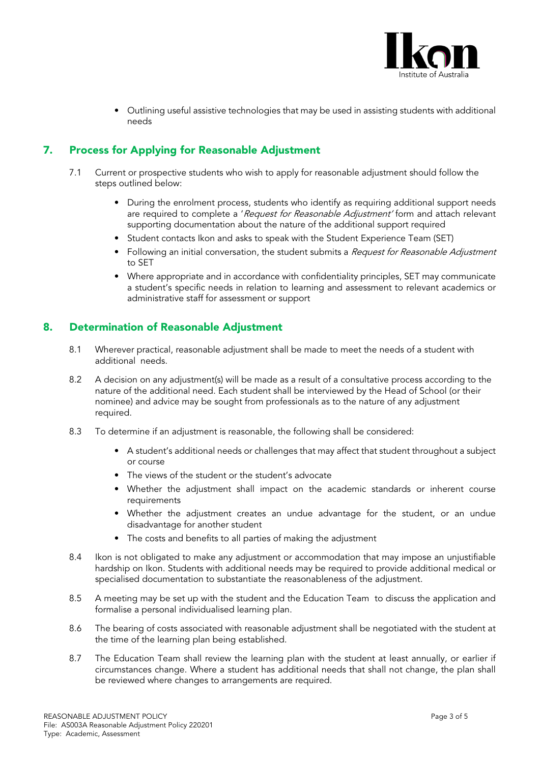

• Outlining useful assistive technologies that may be used in assisting students with additional needs

### 7. Process for Applying for Reasonable Adjustment

- 7.1 Current or prospective students who wish to apply for reasonable adjustment should follow the steps outlined below:
	- During the enrolment process, students who identify as requiring additional support needs are required to complete a 'Request for Reasonable Adjustment' form and attach relevant supporting documentation about the nature of the additional support required
	- Student contacts Ikon and asks to speak with the Student Experience Team (SET)
	- Following an initial conversation, the student submits a Request for Reasonable Adjustment to SET
	- Where appropriate and in accordance with confidentiality principles, SET may communicate a student's specific needs in relation to learning and assessment to relevant academics or administrative staff for assessment or support

#### 8. Determination of Reasonable Adjustment

- 8.1 Wherever practical, reasonable adjustment shall be made to meet the needs of a student with additional needs.
- 8.2 A decision on any adjustment(s) will be made as a result of a consultative process according to the nature of the additional need. Each student shall be interviewed by the Head of School (or their nominee) and advice may be sought from professionals as to the nature of any adjustment required.
- 8.3 To determine if an adjustment is reasonable, the following shall be considered:
	- A student's additional needs or challenges that may affect that student throughout a subject or course
	- The views of the student or the student's advocate
	- Whether the adjustment shall impact on the academic standards or inherent course requirements
	- Whether the adjustment creates an undue advantage for the student, or an undue disadvantage for another student
	- The costs and benefits to all parties of making the adjustment
- 8.4 Ikon is not obligated to make any adjustment or accommodation that may impose an unjustifiable hardship on Ikon. Students with additional needs may be required to provide additional medical or specialised documentation to substantiate the reasonableness of the adjustment.
- 8.5 A meeting may be set up with the student and the Education Team to discuss the application and formalise a personal individualised learning plan.
- 8.6 The bearing of costs associated with reasonable adjustment shall be negotiated with the student at the time of the learning plan being established.
- 8.7 The Education Team shall review the learning plan with the student at least annually, or earlier if circumstances change. Where a student has additional needs that shall not change, the plan shall be reviewed where changes to arrangements are required.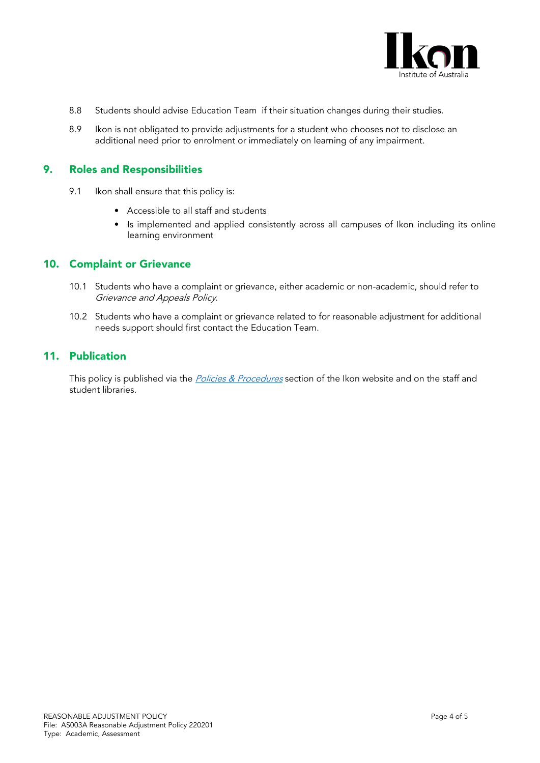

- 8.8 Students should advise Education Team if their situation changes during their studies.
- 8.9 Ikon is not obligated to provide adjustments for a student who chooses not to disclose an additional need prior to enrolment or immediately on learning of any impairment.

#### 9. Roles and Responsibilities

- 9.1 Ikon shall ensure that this policy is:
	- Accessible to all staff and students
	- Is implemented and applied consistently across all campuses of Ikon including its online learning environment

#### 10. Complaint or Grievance

- 10.1 Students who have a complaint or grievance, either academic or non-academic, should refer to Grievance and Appeals Policy.
- 10.2 Students who have a complaint or grievance related to for reasonable adjustment for additional needs support should first contact the Education Team.

#### 11. Publication

This policy is published via the *[Policies & Procedures](https://ikon.edu.au/policies-procedures/)* section of the Ikon website and on the staff and student libraries.